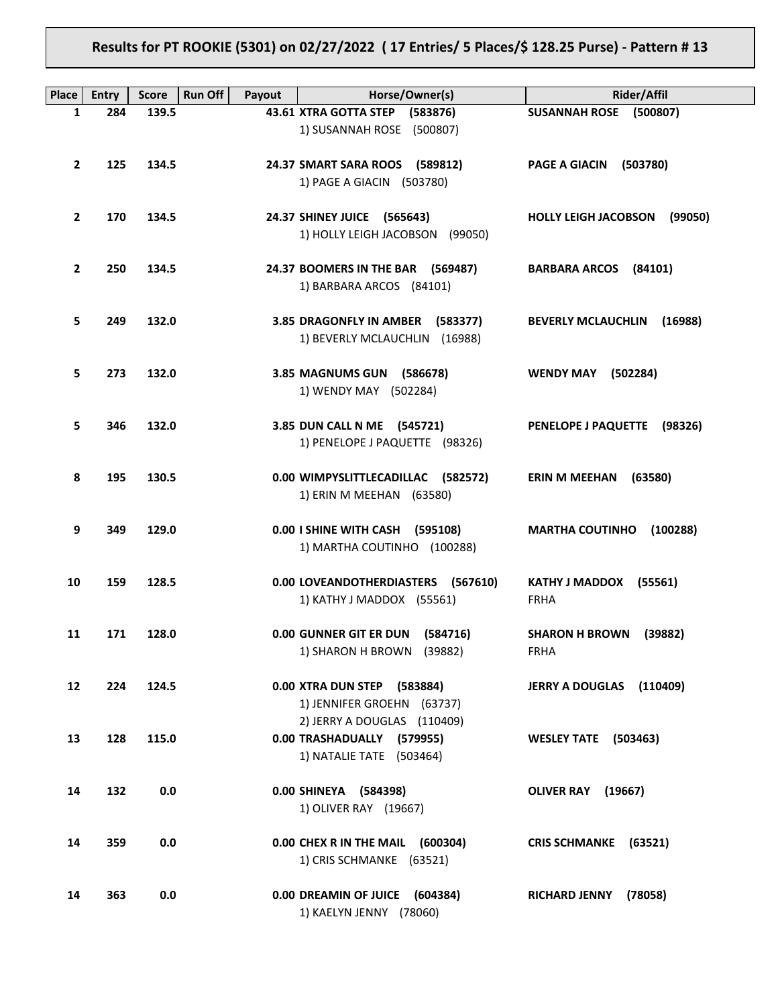**Results for PT ROOKIE (5301) on 02/27/2022 ( 17 Entries/ 5 Places/\$ 128.25 Purse) - Pattern # 13**

| Place          | <b>Entry</b> | <b>Run Off</b><br><b>Score</b> | Payout | Horse/Owner(s)                                                                        | <b>Rider/Affil</b>                              |
|----------------|--------------|--------------------------------|--------|---------------------------------------------------------------------------------------|-------------------------------------------------|
| 1              | 284          | 139.5                          |        | 43.61 XTRA GOTTA STEP (583876)<br>1) SUSANNAH ROSE (500807)                           | SUSANNAH ROSE (500807)                          |
| $\mathbf{2}$   | 125          | 134.5                          |        | 24.37 SMART SARA ROOS (589812)<br>1) PAGE A GIACIN (503780)                           | PAGE A GIACIN (503780)                          |
| $\mathbf{2}$   | 170          | 134.5                          |        | 24.37 SHINEY JUICE (565643)<br>1) HOLLY LEIGH JACOBSON (99050)                        | <b>HOLLY LEIGH JACOBSON</b><br>(99050)          |
| $\overline{2}$ | 250          | 134.5                          |        | 24.37 BOOMERS IN THE BAR (569487)<br>1) BARBARA ARCOS (84101)                         | BARBARA ARCOS (84101)                           |
| 5              | 249          | 132.0                          |        | 3.85 DRAGONFLY IN AMBER (583377)<br>1) BEVERLY MCLAUCHLIN (16988)                     | <b>BEVERLY MCLAUCHLIN (16988)</b>               |
| 5              | 273          | 132.0                          |        | 3.85 MAGNUMS GUN (586678)<br>1) WENDY MAY (502284)                                    | <b>WENDY MAY</b><br>(502284)                    |
| 5              | 346          | 132.0                          |        | 3.85 DUN CALL N ME (545721)<br>1) PENELOPE J PAQUETTE (98326)                         | PENELOPE J PAQUETTE (98326)                     |
| 8              | 195          | 130.5                          |        | 0.00 WIMPYSLITTLECADILLAC (582572)<br>1) ERIN M MEEHAN (63580)                        | ERIN M MEEHAN<br>(63580)                        |
| 9              | 349          | 129.0                          |        | 0.00   SHINE WITH CASH (595108)<br>1) MARTHA COUTINHO (100288)                        | <b>MARTHA COUTINHO</b><br>(100288)              |
| 10             | 159          | 128.5                          |        | 0.00 LOVEANDOTHERDIASTERS (567610)<br>1) KATHY J MADDOX (55561)                       | KATHY J MADDOX (55561)<br><b>FRHA</b>           |
| 11             | 171          | 128.0                          |        | 0.00 GUNNER GIT ER DUN (584716)<br>1) SHARON H BROWN (39882)                          | (39882)<br><b>SHARON H BROWN</b><br><b>FRHA</b> |
| 12             | 224          | 124.5                          |        | 0.00 XTRA DUN STEP (583884)<br>1) JENNIFER GROEHN (63737)                             | JERRY A DOUGLAS (110409)                        |
| 13             | 128          | 115.0                          |        | 2) JERRY A DOUGLAS (110409)<br>0.00 TRASHADUALLY (579955)<br>1) NATALIE TATE (503464) | <b>WESLEY TATE (503463)</b>                     |
| 14             | 132          | 0.0                            |        | 0.00 SHINEYA (584398)<br>1) OLIVER RAY (19667)                                        | OLIVER RAY (19667)                              |
| 14             | 359          | 0.0                            |        | 0.00 CHEX R IN THE MAIL (600304)<br>1) CRIS SCHMANKE (63521)                          | CRIS SCHMANKE (63521)                           |
| 14             | 363          | 0.0                            |        | 0.00 DREAMIN OF JUICE (604384)<br>1) KAELYN JENNY (78060)                             | <b>RICHARD JENNY</b><br>(78058)                 |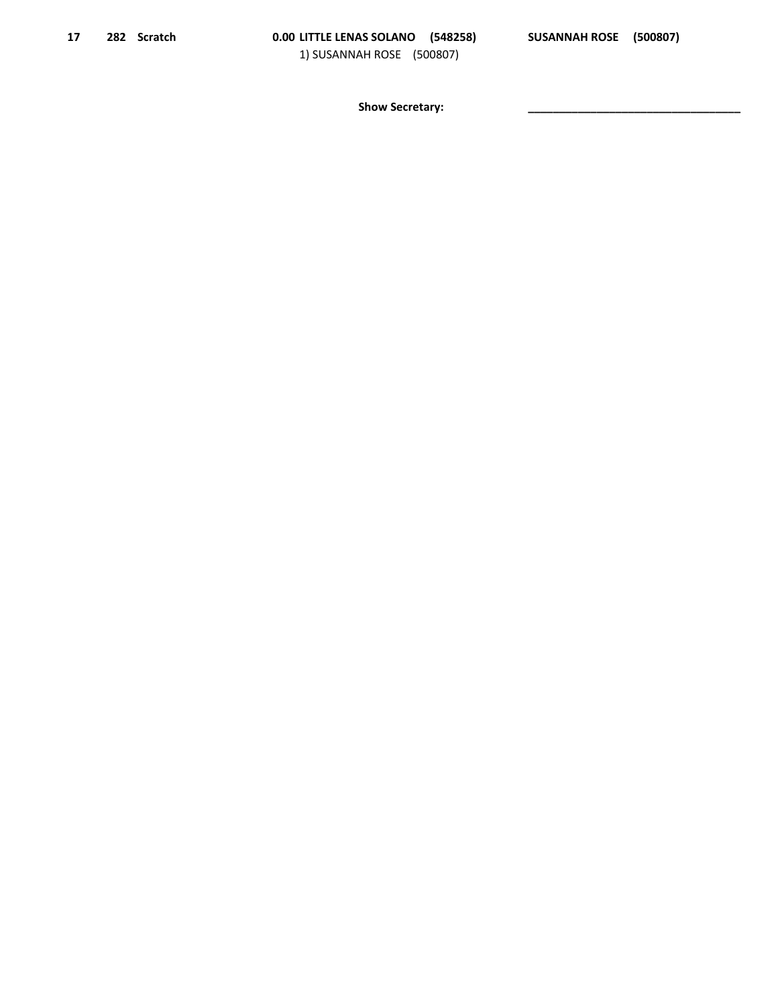Show Secretary: